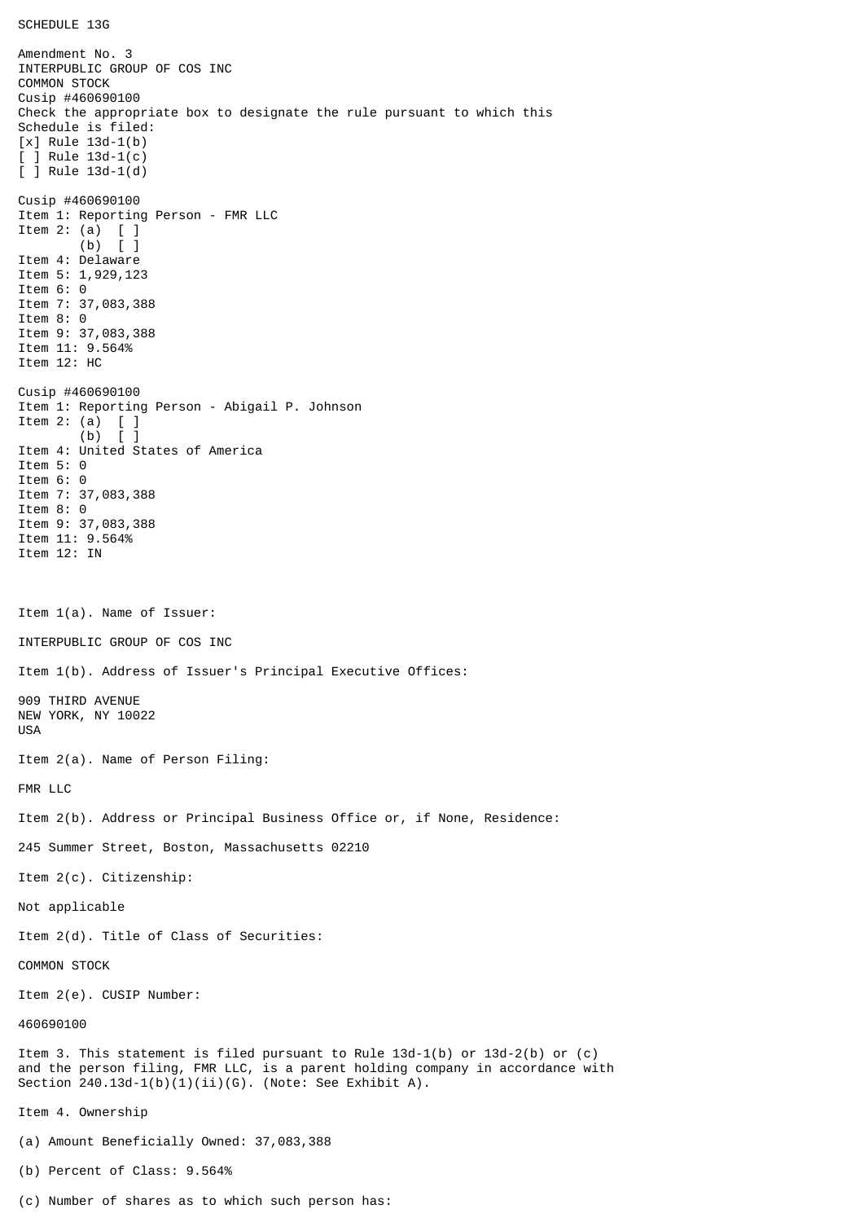SCHEDULE 13G

Amendment No. 3 INTERPUBLIC GROUP OF COS INC COMMON STOCK Cusip #460690100 Check the appropriate box to designate the rule pursuant to which this Schedule is filed: [x] Rule 13d-1(b)  $\lceil$   $\rceil$  Rule 13d-1(c) [ ] Rule 13d-1(d) Cusip #460690100 Item 1: Reporting Person - FMR LLC Item 2: (a)  $\begin{bmatrix} 1 \\ 0 \end{bmatrix}$  $\lceil$   $\rceil$ Item 4: Delaware Item 5: 1,929,123 Item 6: 0 Item 7: 37,083,388 Item 8: 0 Item 9: 37,083,388 Item 11: 9.564% Item 12: HC Cusip #460690100 Item 1: Reporting Person - Abigail P. Johnson Item 2: (a)  $[$   $]$ <br>(b)  $[$   $]$  $(b)$ Item 4: United States of America Item 5: 0 Item 6: 0 Item 7: 37,083,388 Item 8: 0 Item 9: 37,083,388 Item 11: 9.564% Item 12: IN Item 1(a). Name of Issuer: INTERPUBLIC GROUP OF COS INC Item 1(b). Address of Issuer's Principal Executive Offices: 909 THIRD AVENUE NEW YORK, NY 10022 USA Item 2(a). Name of Person Filing: FMR LLC Item 2(b). Address or Principal Business Office or, if None, Residence: 245 Summer Street, Boston, Massachusetts 02210 Item 2(c). Citizenship: Not applicable Item 2(d). Title of Class of Securities: COMMON STOCK Item 2(e). CUSIP Number: 460690100 Item 3. This statement is filed pursuant to Rule 13d-1(b) or 13d-2(b) or (c) and the person filing, FMR LLC, is a parent holding company in accordance with Section  $240.13d-1(b)(1)(ii)(G)$ . (Note: See Exhibit A). Item 4. Ownership (a) Amount Beneficially Owned: 37,083,388 (b) Percent of Class: 9.564%

(c) Number of shares as to which such person has: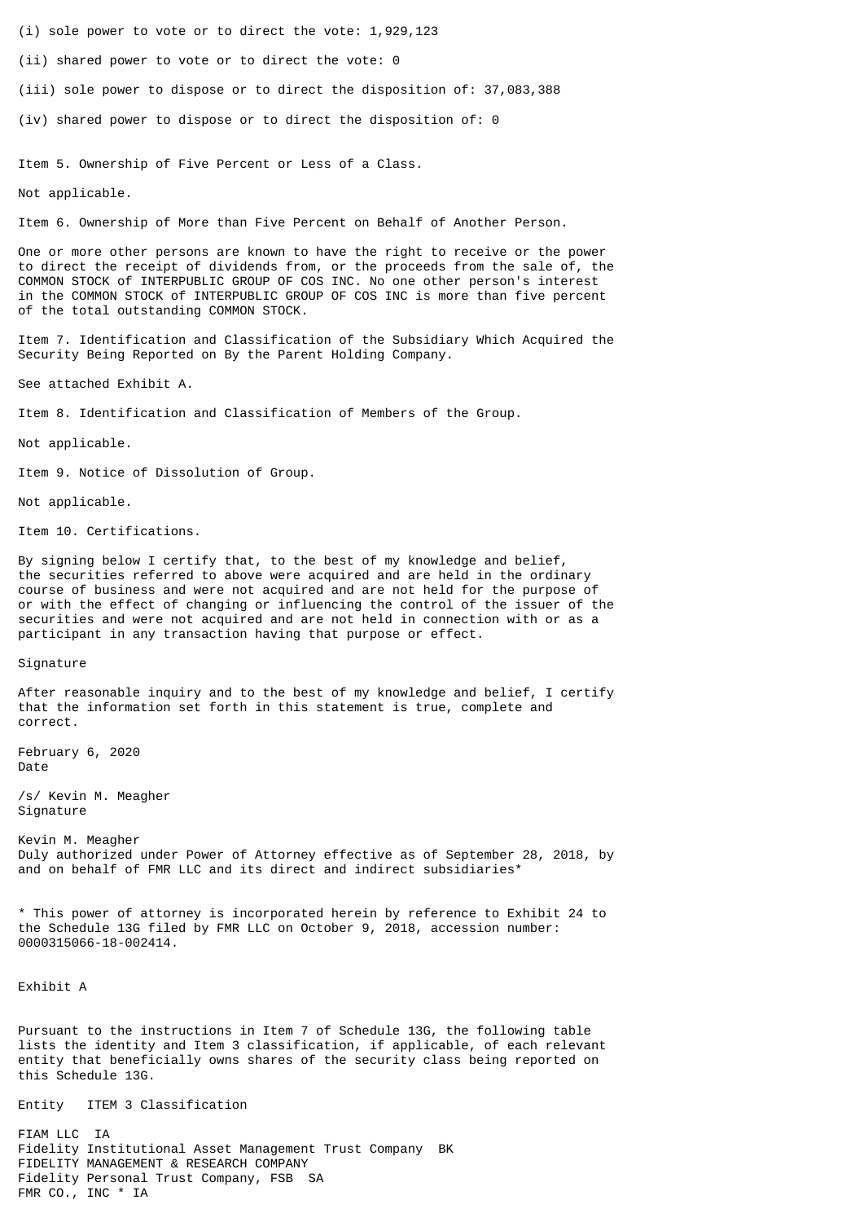- (i) sole power to vote or to direct the vote: 1,929,123
- (ii) shared power to vote or to direct the vote: 0
- (iii) sole power to dispose or to direct the disposition of: 37,083,388
- (iv) shared power to dispose or to direct the disposition of: 0

Item 5. Ownership of Five Percent or Less of a Class.

Not applicable.

Item 6. Ownership of More than Five Percent on Behalf of Another Person.

One or more other persons are known to have the right to receive or the power to direct the receipt of dividends from, or the proceeds from the sale of, the COMMON STOCK of INTERPUBLIC GROUP OF COS INC. No one other person's interest in the COMMON STOCK of INTERPUBLIC GROUP OF COS INC is more than five percent of the total outstanding COMMON STOCK.

Item 7. Identification and Classification of the Subsidiary Which Acquired the Security Being Reported on By the Parent Holding Company.

See attached Exhibit A.

Item 8. Identification and Classification of Members of the Group.

Not applicable.

Item 9. Notice of Dissolution of Group.

Not applicable.

Item 10. Certifications.

By signing below I certify that, to the best of my knowledge and belief, the securities referred to above were acquired and are held in the ordinary course of business and were not acquired and are not held for the purpose of or with the effect of changing or influencing the control of the issuer of the securities and were not acquired and are not held in connection with or as a participant in any transaction having that purpose or effect.

## Signature

After reasonable inquiry and to the best of my knowledge and belief, I certify that the information set forth in this statement is true, complete and correct.

February 6, 2020 Date

/s/ Kevin M. Meagher Signature

Kevin M. Meagher Duly authorized under Power of Attorney effective as of September 28, 2018, by and on behalf of FMR LLC and its direct and indirect subsidiaries\*

\* This power of attorney is incorporated herein by reference to Exhibit 24 to the Schedule 13G filed by FMR LLC on October 9, 2018, accession number: 0000315066-18-002414.

Exhibit A

Pursuant to the instructions in Item 7 of Schedule 13G, the following table lists the identity and Item 3 classification, if applicable, of each relevant entity that beneficially owns shares of the security class being reported on this Schedule 13G.

Entity ITEM 3 Classification

FIAM LLC IA Fidelity Institutional Asset Management Trust Company BK FIDELITY MANAGEMENT & RESEARCH COMPANY Fidelity Personal Trust Company, FSB SA FMR CO., INC \* IA